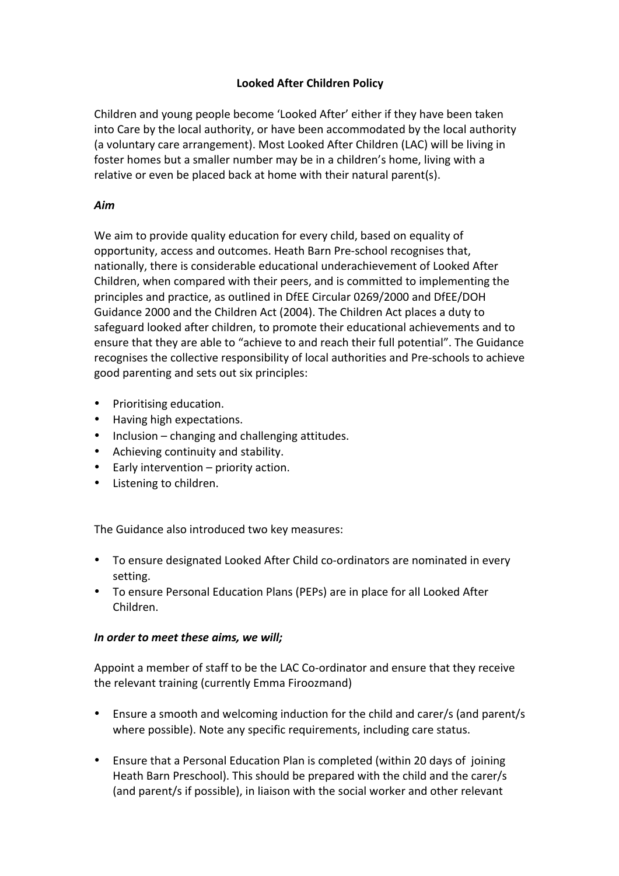## **Looked After Children Policy**

Children and young people become 'Looked After' either if they have been taken into Care by the local authority, or have been accommodated by the local authority (a voluntary care arrangement). Most Looked After Children (LAC) will be living in foster homes but a smaller number may be in a children's home, living with a relative or even be placed back at home with their natural parent(s).

## *Aim*

We aim to provide quality education for every child, based on equality of opportunity, access and outcomes. Heath Barn Pre-school recognises that, nationally, there is considerable educational underachievement of Looked After Children, when compared with their peers, and is committed to implementing the principles and practice, as outlined in DfEE Circular 0269/2000 and DfEE/DOH Guidance 2000 and the Children Act (2004). The Children Act places a duty to safeguard looked after children, to promote their educational achievements and to ensure that they are able to "achieve to and reach their full potential". The Guidance recognises the collective responsibility of local authorities and Pre-schools to achieve good parenting and sets out six principles:

- Prioritising education.
- Having high expectations.
- Inclusion  $-$  changing and challenging attitudes.
- Achieving continuity and stability.
- Early intervention  $-$  priority action.
- Listening to children.

The Guidance also introduced two key measures:

- To ensure designated Looked After Child co-ordinators are nominated in every setting.
- To ensure Personal Education Plans (PEPs) are in place for all Looked After Children.

## In order to meet these aims, we will;

Appoint a member of staff to be the LAC Co-ordinator and ensure that they receive the relevant training (currently Emma Firoozmand)

- Ensure a smooth and welcoming induction for the child and carer/s (and parent/s where possible). Note any specific requirements, including care status.
- Ensure that a Personal Education Plan is completed (within 20 days of joining Heath Barn Preschool). This should be prepared with the child and the carer/s (and parent/s if possible), in liaison with the social worker and other relevant